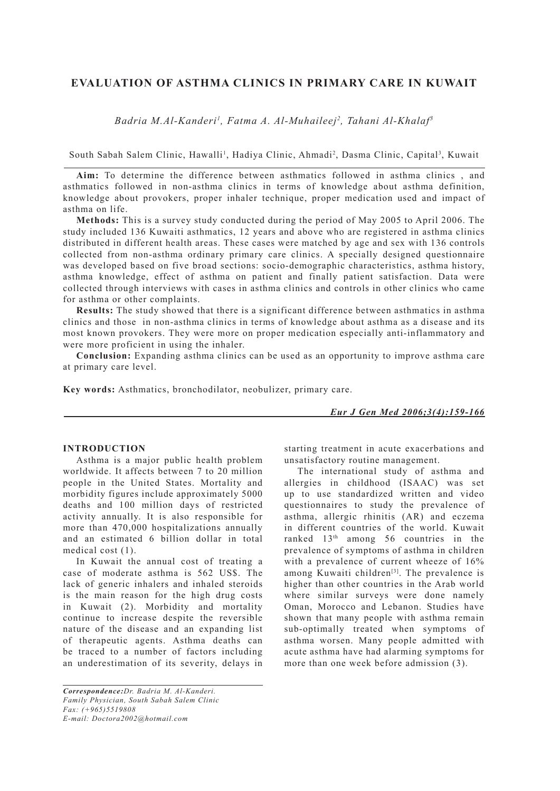# **EVALUATION OF ASTHMA CLINICS IN PRIMARY CARE IN KUWAIT**

*Badria M.Al-Kanderi1 , Fatma A. Al-Muhaileej2 , Tahani Al-Khalaf3*

South Sabah Salem Clinic, Hawalli<sup>1</sup>, Hadiya Clinic, Ahmadi<sup>2</sup>, Dasma Clinic, Capital<sup>3</sup>, Kuwait

**Aim:** To determine the difference between asthmatics followed in asthma clinics , and asthmatics followed in non-asthma clinics in terms of knowledge about asthma definition, knowledge about provokers, proper inhaler technique, proper medication used and impact of asthma on life.

**Methods:** This is a survey study conducted during the period of May 2005 to April 2006. The study included 136 Kuwaiti asthmatics, 12 years and above who are registered in asthma clinics distributed in different health areas. These cases were matched by age and sex with 136 controls collected from non-asthma ordinary primary care clinics. A specially designed questionnaire was developed based on five broad sections: socio-demographic characteristics, asthma history, asthma knowledge, effect of asthma on patient and finally patient satisfaction. Data were collected through interviews with cases in asthma clinics and controls in other clinics who came for asthma or other complaints.

**Results:** The study showed that there is a significant difference between asthmatics in asthma clinics and those in non-asthma clinics in terms of knowledge about asthma as a disease and its most known provokers. They were more on proper medication especially anti-inflammatory and were more proficient in using the inhaler.

**Conclusion:** Expanding asthma clinics can be used as an opportunity to improve asthma care at primary care level.

**Key words:** Asthmatics, bronchodilator, neobulizer, primary care.

*Eur J Gen Med 2006;3(4):159-166*

### **INTRODUCTION**

Asthma is a major public health problem worldwide. It affects between 7 to 20 million people in the United States. Mortality and morbidity figures include approximately 5000 deaths and 100 million days of restricted activity annually. It is also responsible for more than 470,000 hospitalizations annually and an estimated 6 billion dollar in total medical cost (1).

In Kuwait the annual cost of treating a case of moderate asthma is 562 US\$. The lack of generic inhalers and inhaled steroids is the main reason for the high drug costs in Kuwait (2). Morbidity and mortality continue to increase despite the reversible nature of the disease and an expanding list of therapeutic agents. Asthma deaths can be traced to a number of factors including an underestimation of its severity, delays in starting treatment in acute exacerbations and unsatisfactory routine management.

The international study of asthma and allergies in childhood (ISAAC) was set up to use standardized written and video questionnaires to study the prevalence of asthma, allergic rhinitis (AR) and eczema in different countries of the world. Kuwait ranked 13th among 56 countries in the prevalence of symptoms of asthma in children with a prevalence of current wheeze of  $16\%$ among Kuwaiti children<sup>[3]</sup>. The prevalence is higher than other countries in the Arab world where similar surveys were done namely Oman, Morocco and Lebanon. Studies have shown that many people with asthma remain sub-optimally treated when symptoms of asthma worsen. Many people admitted with acute asthma have had alarming symptoms for more than one week before admission (3).

*Correspondence:Dr. Badria M. Al-Kanderi. Family Physician, South Sabah Salem Clinic Fax: (+965)5519808 E-mail: Doctora2002@hotmail.com*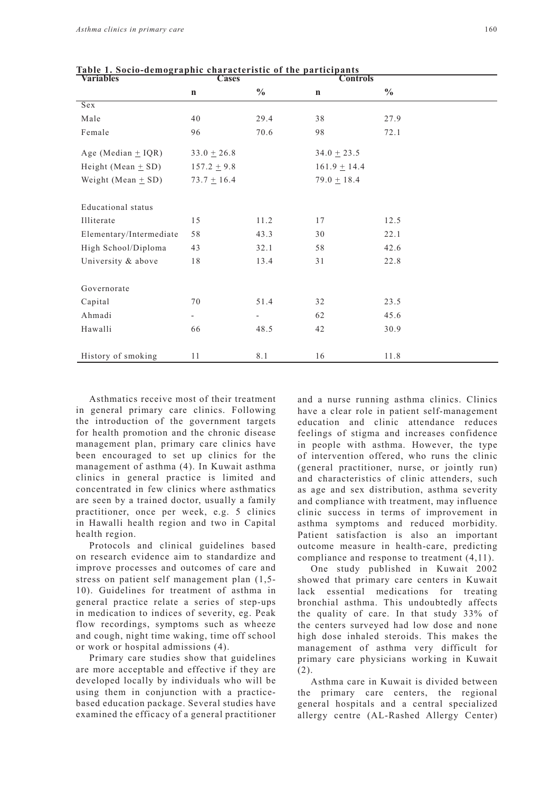| $\sim$ $\sim$ $\sim$ $\sim$ $\sim$ $\sim$<br><b>Variables</b> | 111v viitti uvt<br>$\cdots$<br><b>Cases</b> |               | <br>$\cdots$<br><b>Controls</b> |               |  |  |
|---------------------------------------------------------------|---------------------------------------------|---------------|---------------------------------|---------------|--|--|
|                                                               | $\mathbf n$                                 | $\frac{0}{0}$ | $\mathbf n$                     | $\frac{0}{0}$ |  |  |
| Sex                                                           |                                             |               |                                 |               |  |  |
| Male                                                          | 40                                          | 29.4          | 38                              | 27.9          |  |  |
| Female                                                        | 96                                          | 70.6          | 98                              | 72.1          |  |  |
| Age (Median $\pm$ IQR)                                        | $33.0 \pm 26.8$                             |               | $34.0 \pm 23.5$                 |               |  |  |
| Height (Mean $\pm$ SD)                                        | $157.2 \pm 9.8$                             |               | $161.9 \pm 14.4$                |               |  |  |
| Weight (Mean $\pm$ SD)                                        | $73.7 \pm 16.4$                             |               | $79.0 \pm 18.4$                 |               |  |  |
|                                                               |                                             |               |                                 |               |  |  |
| Educational status                                            |                                             |               |                                 |               |  |  |
| Illiterate                                                    | 15                                          | 11.2          | 17                              | 12.5          |  |  |
| Elementary/Intermediate                                       | 58                                          | 43.3          | 30                              | 22.1          |  |  |
| High School/Diploma                                           | 43                                          | 32.1          | 58                              | 42.6          |  |  |
| University & above                                            | $1\,8$                                      | 13.4          | 31                              | 22.8          |  |  |
|                                                               |                                             |               |                                 |               |  |  |
| Governorate                                                   |                                             |               |                                 |               |  |  |
| Capital                                                       | 70                                          | 51.4          | 32                              | 23.5          |  |  |
| Ahmadi                                                        | $\overline{\phantom{a}}$                    |               | 62                              | 45.6          |  |  |
| Hawalli                                                       | 66                                          | 48.5          | 42                              | 30.9          |  |  |
|                                                               |                                             |               |                                 |               |  |  |
| History of smoking                                            | 11                                          | 8.1           | 16                              | 11.8          |  |  |

**Table 1. Socio-demographic characteristic of the participants**

Asthmatics receive most of their treatment in general primary care clinics. Following the introduction of the government targets for health promotion and the chronic disease management plan, primary care clinics have been encouraged to set up clinics for the management of asthma (4). In Kuwait asthma clinics in general practice is limited and concentrated in few clinics where asthmatics are seen by a trained doctor, usually a family practitioner, once per week, e.g. 5 clinics in Hawalli health region and two in Capital health region.

Protocols and clinical guidelines based on research evidence aim to standardize and improve processes and outcomes of care and stress on patient self management plan (1,5- 10). Guidelines for treatment of asthma in general practice relate a series of step-ups in medication to indices of severity, eg. Peak flow recordings, symptoms such as wheeze and cough, night time waking, time off school or work or hospital admissions (4).

Primary care studies show that guidelines are more acceptable and effective if they are developed locally by individuals who will be using them in conjunction with a practicebased education package. Several studies have examined the efficacy of a general practitioner and a nurse running asthma clinics. Clinics have a clear role in patient self-management education and clinic attendance reduces feelings of stigma and increases confidence in people with asthma. However, the type of intervention offered, who runs the clinic (general practitioner, nurse, or jointly run) and characteristics of clinic attenders, such as age and sex distribution, asthma severity and compliance with treatment, may influence clinic success in terms of improvement in asthma symptoms and reduced morbidity. Patient satisfaction is also an important outcome measure in health-care, predicting compliance and response to treatment (4,11).

One study published in Kuwait 2002 showed that primary care centers in Kuwait lack essential medications for treating bronchial asthma. This undoubtedly affects the quality of care. In that study 33% of the centers surveyed had low dose and none high dose inhaled steroids. This makes the management of asthma very difficult for primary care physicians working in Kuwait (2).

Asthma care in Kuwait is divided between the primary care centers, the regional general hospitals and a central specialized allergy centre (AL-Rashed Allergy Center)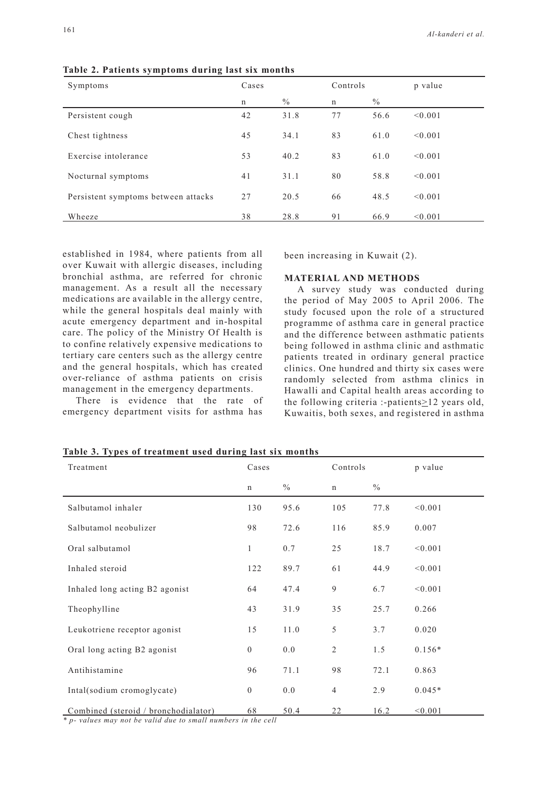| Symptoms                            | Cases |      | Controls |      | p value |
|-------------------------------------|-------|------|----------|------|---------|
|                                     | n     | $\%$ | n        | $\%$ |         |
| Persistent cough                    | 42    | 31.8 | 77       | 56.6 | < 0.001 |
| Chest tightness                     | 45    | 34.1 | 83       | 61.0 | < 0.001 |
| Exercise intolerance                | 53    | 40.2 | 83       | 61.0 | < 0.001 |
| Nocturnal symptoms                  | 41    | 31.1 | 80       | 58.8 | < 0.001 |
| Persistent symptoms between attacks | 27    | 20.5 | 66       | 48.5 | < 0.001 |
| Wheeze                              | 38    | 28.8 | 91       | 66.9 | < 0.001 |

**Table 2. Patients symptoms during last six months**

established in 1984, where patients from all over Kuwait with allergic diseases, including bronchial asthma, are referred for chronic management. As a result all the necessary medications are available in the allergy centre, while the general hospitals deal mainly with acute emergency department and in-hospital care. The policy of the Ministry Of Health is to confine relatively expensive medications to tertiary care centers such as the allergy centre and the general hospitals, which has created over-reliance of asthma patients on crisis management in the emergency departments.

There is evidence that the rate of emergency department visits for asthma has

been increasing in Kuwait (2).

## **MATERIAL AND METHODS**

A survey study was conducted during the period of May 2005 to April 2006. The study focused upon the role of a structured programme of asthma care in general practice and the difference between asthmatic patients being followed in asthma clinic and asthmatic patients treated in ordinary general practice clinics. One hundred and thirty six cases were randomly selected from asthma clinics in Hawalli and Capital health areas according to the following criteria :-patients $\geq$ 12 years old, Kuwaitis, both sexes, and registered in asthma

| Treatment                            | Cases          |               | Controls       |               | p value  |
|--------------------------------------|----------------|---------------|----------------|---------------|----------|
|                                      | $\mathbf n$    | $\frac{0}{0}$ | $\mathbf n$    | $\frac{0}{0}$ |          |
| Salbutamol inhaler                   | 130            | 95.6          | 105            | 77.8          | < 0.001  |
| Salbutamol neobulizer                | 98             | 72.6          | 116            | 85.9          | 0.007    |
| Oral salbutamol                      | 1              | 0.7           | 25             | 18.7          | < 0.001  |
| Inhaled steroid                      | 122            | 89.7          | 61             | 44.9          | < 0.001  |
| Inhaled long acting B2 agonist       | 64             | 47.4          | 9              | 6.7           | < 0.001  |
| Theophylline                         | 43             | 31.9          | 35             | 25.7          | 0.266    |
| Leukotriene receptor agonist         | 15             | 11.0          | 5              | 3.7           | 0.020    |
| Oral long acting B2 agonist          | $\overline{0}$ | 0.0           | $\overline{2}$ | 1.5           | $0.156*$ |
| Antihistamine                        | 96             | 71.1          | 98             | 72.1          | 0.863    |
| Intal(sodium cromoglycate)           | $\mathbf{0}$   | 0.0           | $\overline{4}$ | 2.9           | $0.045*$ |
| Combined (steroid / bronchodialator) | 68             | 50.4          | 22             | 16.2          | < 0.001  |

**Table 3. Types of treatment used during last six months**

*\* p- values may not be valid due to small numbers in the cell*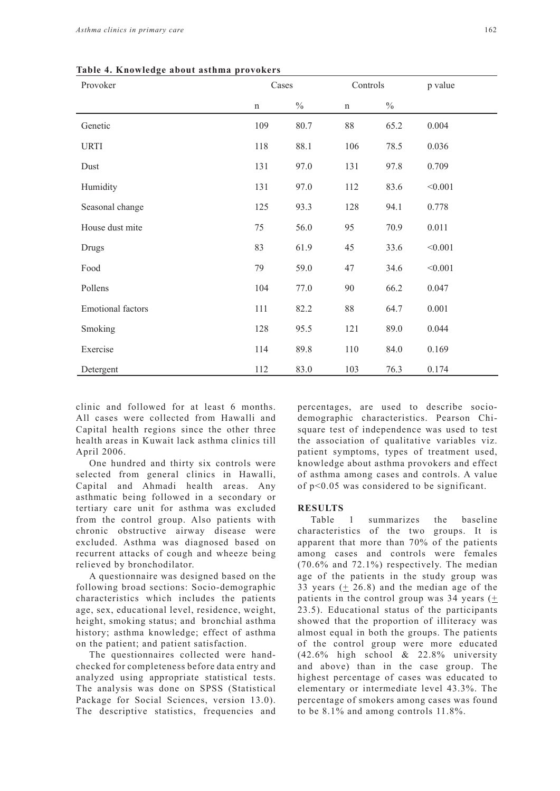|  |  |  | Table 4. Knowledge about asthma provokers |  |
|--|--|--|-------------------------------------------|--|
|--|--|--|-------------------------------------------|--|

| Provoker                 | Cases       |               | Controls    |               | p value |
|--------------------------|-------------|---------------|-------------|---------------|---------|
|                          | $\mathbf n$ | $\frac{0}{0}$ | $\mathbf n$ | $\frac{0}{0}$ |         |
| Genetic                  | 109         | 80.7          | 88          | 65.2          | 0.004   |
| <b>URTI</b>              | 118         | 88.1          | 106         | 78.5          | 0.036   |
| Dust                     | 131         | 97.0          | 131         | 97.8          | 0.709   |
| Humidity                 | 131         | 97.0          | 112         | 83.6          | < 0.001 |
| Seasonal change          | 125         | 93.3          | 128         | 94.1          | 0.778   |
| House dust mite          | 75          | 56.0          | 95          | 70.9          | 0.011   |
| Drugs                    | 83          | 61.9          | 45          | 33.6          | < 0.001 |
| Food                     | 79          | 59.0          | 47          | 34.6          | < 0.001 |
| Pollens                  | 104         | 77.0          | 90          | 66.2          | 0.047   |
| <b>Emotional factors</b> | 111         | 82.2          | $88\,$      | 64.7          | 0.001   |
| Smoking                  | 128         | 95.5          | 121         | 89.0          | 0.044   |
| Exercise                 | 114         | 89.8          | 110         | 84.0          | 0.169   |
| Detergent                | 112         | 83.0          | 103         | 76.3          | 0.174   |

clinic and followed for at least 6 months. All cases were collected from Hawalli and Capital health regions since the other three health areas in Kuwait lack asthma clinics till April 2006.

One hundred and thirty six controls were selected from general clinics in Hawalli, Capital and Ahmadi health areas. Any asthmatic being followed in a secondary or tertiary care unit for asthma was excluded from the control group. Also patients with chronic obstructive airway disease were excluded. Asthma was diagnosed based on recurrent attacks of cough and wheeze being relieved by bronchodilator.

A questionnaire was designed based on the following broad sections: Socio-demographic characteristics which includes the patients age, sex, educational level, residence, weight, height, smoking status; and bronchial asthma history; asthma knowledge; effect of asthma on the patient; and patient satisfaction.

The questionnaires collected were handchecked for completeness before data entry and analyzed using appropriate statistical tests. The analysis was done on SPSS (Statistical Package for Social Sciences, version 13.0). The descriptive statistics, frequencies and percentages, are used to describe sociodemographic characteristics. Pearson Chisquare test of independence was used to test the association of qualitative variables viz. patient symptoms, types of treatment used, knowledge about asthma provokers and effect of asthma among cases and controls. A value of p<0.05 was considered to be significant.

#### **RESULTS**

Table 1 summarizes the baseline characteristics of the two groups. It is apparent that more than 70% of the patients among cases and controls were females (70.6% and 72.1%) respectively. The median age of the patients in the study group was 33 years  $(\pm 26.8)$  and the median age of the patients in the control group was  $34$  years ( $+$ 23.5). Educational status of the participants showed that the proportion of illiteracy was almost equal in both the groups. The patients of the control group were more educated (42.6% high school & 22.8% university and above) than in the case group. The highest percentage of cases was educated to elementary or intermediate level 43.3%. The percentage of smokers among cases was found to be 8.1% and among controls 11.8%.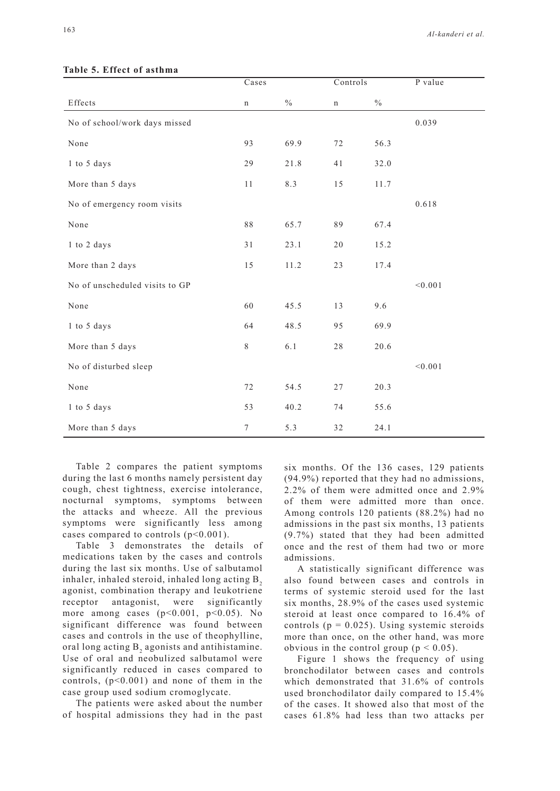|                                | Cases       |               | Controls    |               | P value |
|--------------------------------|-------------|---------------|-------------|---------------|---------|
| Effects                        | $\mathbf n$ | $\frac{0}{0}$ | $\mathbf n$ | $\frac{0}{0}$ |         |
| No of school/work days missed  |             |               |             |               | 0.039   |
| None                           | 93          | 69.9          | 72          | 56.3          |         |
| 1 to 5 days                    | 29          | 21.8          | 41          | 32.0          |         |
| More than 5 days               | 11          | 8.3           | 15          | 11.7          |         |
| No of emergency room visits    |             |               |             |               | 0.618   |
| None                           | 88          | 65.7          | 89          | 67.4          |         |
| 1 to 2 days                    | 31          | 23.1          | 20          | 15.2          |         |
| More than 2 days               | 15          | 11.2          | 23          | 17.4          |         |
| No of unscheduled visits to GP |             |               |             |               | < 0.001 |
| None                           | 60          | 45.5          | 13          | 9.6           |         |
| 1 to 5 days                    | 64          | 48.5          | 95          | 69.9          |         |
| More than 5 days               | $8\,$       | 6.1           | 28          | 20.6          |         |
| No of disturbed sleep          |             |               |             |               | < 0.001 |
| None                           | 72          | 54.5          | $27\,$      | 20.3          |         |
| 1 to 5 days                    | 53          | 40.2          | 74          | 55.6          |         |
| More than 5 days               | 7           | 5.3           | 32          | 24.1          |         |

### **Table 5. Effect of asthma**

Table 2 compares the patient symptoms during the last 6 months namely persistent day cough, chest tightness, exercise intolerance, nocturnal symptoms, symptoms between the attacks and wheeze. All the previous symptoms were significantly less among cases compared to controls  $(p<0.001)$ .

Table 3 demonstrates the details of medications taken by the cases and controls during the last six months. Use of salbutamol inhaler, inhaled steroid, inhaled long acting  $B<sub>2</sub>$ agonist, combination therapy and leukotriene receptor antagonist, were significantly more among cases  $(p<0.001, p<0.05)$ . No significant difference was found between cases and controls in the use of theophylline, oral long acting  $B_2$  agonists and antihistamine. Use of oral and neobulized salbutamol were significantly reduced in cases compared to controls,  $(p<0.001)$  and none of them in the case group used sodium cromoglycate.

The patients were asked about the number of hospital admissions they had in the past six months. Of the 136 cases, 129 patients (94.9%) reported that they had no admissions, 2.2% of them were admitted once and 2.9% of them were admitted more than once. Among controls 120 patients (88.2%) had no admissions in the past six months, 13 patients (9.7%) stated that they had been admitted once and the rest of them had two or more admissions.

A statistically significant difference was also found between cases and controls in terms of systemic steroid used for the last six months, 28.9% of the cases used systemic steroid at least once compared to 16.4% of controls ( $p = 0.025$ ). Using systemic steroids more than once, on the other hand, was more obvious in the control group ( $p < 0.05$ ).

Figure 1 shows the frequency of using bronchodilator between cases and controls which demonstrated that 31.6% of controls used bronchodilator daily compared to 15.4% of the cases. It showed also that most of the cases 61.8% had less than two attacks per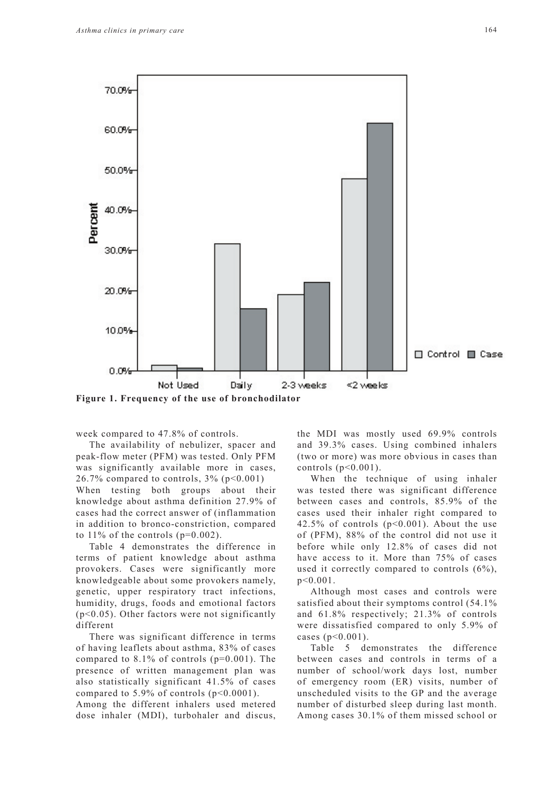

week compared to 47.8% of controls.

The availability of nebulizer, spacer and peak-flow meter (PFM) was tested. Only PFM was significantly available more in cases, 26.7% compared to controls,  $3\%$  (p<0.001) When testing both groups about their knowledge about asthma definition 27.9% of cases had the correct answer of (inflammation in addition to bronco-constriction, compared to  $11\%$  of the controls (p=0.002).

Table 4 demonstrates the difference in terms of patient knowledge about asthma provokers. Cases were significantly more knowledgeable about some provokers namely, genetic, upper respiratory tract infections, humidity, drugs, foods and emotional factors  $(p<0.05)$ . Other factors were not significantly different

There was significant difference in terms of having leaflets about asthma, 83% of cases compared to  $8.1\%$  of controls ( $p=0.001$ ). The presence of written management plan was also statistically significant 41.5% of cases compared to  $5.9\%$  of controls ( $p<0.0001$ ).

Among the different inhalers used metered dose inhaler (MDI), turbohaler and discus, the MDI was mostly used 69.9% controls and 39.3% cases. Using combined inhalers (two or more) was more obvious in cases than controls  $(p<0.001)$ .

When the technique of using inhaler was tested there was significant difference between cases and controls, 85.9% of the cases used their inhaler right compared to 42.5% of controls  $(p<0.001)$ . About the use of (PFM), 88% of the control did not use it before while only 12.8% of cases did not have access to it. More than 75% of cases used it correctly compared to controls (6%), p<0.001.

Although most cases and controls were satisfied about their symptoms control (54.1% and 61.8% respectively; 21.3% of controls were dissatisfied compared to only 5.9% of cases (p<0.001).

Table 5 demonstrates the difference between cases and controls in terms of a number of school/work days lost, number of emergency room (ER) visits, number of unscheduled visits to the GP and the average number of disturbed sleep during last month. Among cases 30.1% of them missed school or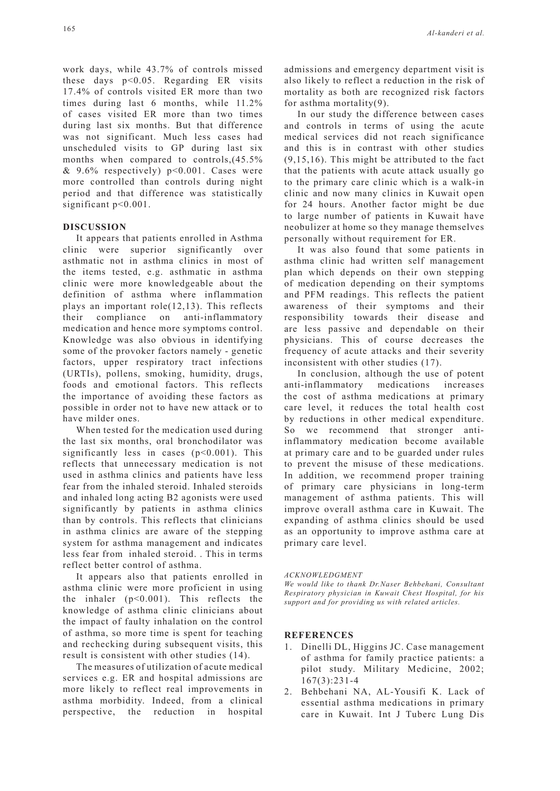work days, while 43.7% of controls missed these days p<0.05. Regarding ER visits 17.4% of controls visited ER more than two times during last 6 months, while 11.2% of cases visited ER more than two times during last six months. But that difference was not significant. Much less cases had unscheduled visits to GP during last six months when compared to controls,(45.5%  $& 9.6\%$  respectively)  $p<0.001$ . Cases were more controlled than controls during night period and that difference was statistically significant p<0.001.

### **DISCUSSION**

It appears that patients enrolled in Asthma clinic were superior significantly over asthmatic not in asthma clinics in most of the items tested, e.g. asthmatic in asthma clinic were more knowledgeable about the definition of asthma where inflammation plays an important role(12,13). This reflects their compliance on anti-inflammatory medication and hence more symptoms control. Knowledge was also obvious in identifying some of the provoker factors namely - genetic factors, upper respiratory tract infections (URTIs), pollens, smoking, humidity, drugs, foods and emotional factors. This reflects the importance of avoiding these factors as possible in order not to have new attack or to have milder ones.

When tested for the medication used during the last six months, oral bronchodilator was significantly less in cases  $(p<0.001)$ . This reflects that unnecessary medication is not used in asthma clinics and patients have less fear from the inhaled steroid. Inhaled steroids and inhaled long acting B2 agonists were used significantly by patients in asthma clinics than by controls. This reflects that clinicians in asthma clinics are aware of the stepping system for asthma management and indicates less fear from inhaled steroid. . This in terms reflect better control of asthma.

It appears also that patients enrolled in asthma clinic were more proficient in using the inhaler (p<0.001). This reflects the knowledge of asthma clinic clinicians about the impact of faulty inhalation on the control of asthma, so more time is spent for teaching and rechecking during subsequent visits, this result is consistent with other studies (14).

The measures of utilization of acute medical services e.g. ER and hospital admissions are more likely to reflect real improvements in asthma morbidity. Indeed, from a clinical perspective, the reduction in hospital admissions and emergency department visit is also likely to reflect a reduction in the risk of mortality as both are recognized risk factors for asthma mortality(9).

In our study the difference between cases and controls in terms of using the acute medical services did not reach significance and this is in contrast with other studies (9,15,16). This might be attributed to the fact that the patients with acute attack usually go to the primary care clinic which is a walk-in clinic and now many clinics in Kuwait open for 24 hours. Another factor might be due to large number of patients in Kuwait have neobulizer at home so they manage themselves personally without requirement for ER.

It was also found that some patients in asthma clinic had written self management plan which depends on their own stepping of medication depending on their symptoms and PFM readings. This reflects the patient awareness of their symptoms and their responsibility towards their disease and are less passive and dependable on their physicians. This of course decreases the frequency of acute attacks and their severity inconsistent with other studies (17).

In conclusion, although the use of potent anti-inflammatory medications increases the cost of asthma medications at primary care level, it reduces the total health cost by reductions in other medical expenditure. So we recommend that stronger antiinflammatory medication become available at primary care and to be guarded under rules to prevent the misuse of these medications. In addition, we recommend proper training of primary care physicians in long-term management of asthma patients. This will improve overall asthma care in Kuwait. The expanding of asthma clinics should be used as an opportunity to improve asthma care at primary care level.

#### *ACKNOWLEDGMENT*

*We would like to thank Dr.Naser Behbehani, Consultant Respiratory physician in Kuwait Chest Hospital, for his support and for providing us with related articles.*

### **REFERENCES**

- 1. Dinelli DL, Higgins JC. Case management of asthma for family practice patients: a pilot study. Military Medicine, 2002; 167(3):231-4
- 2. Behbehani NA, AL-Yousifi K. Lack of essential asthma medications in primary care in Kuwait. Int J Tuberc Lung Dis